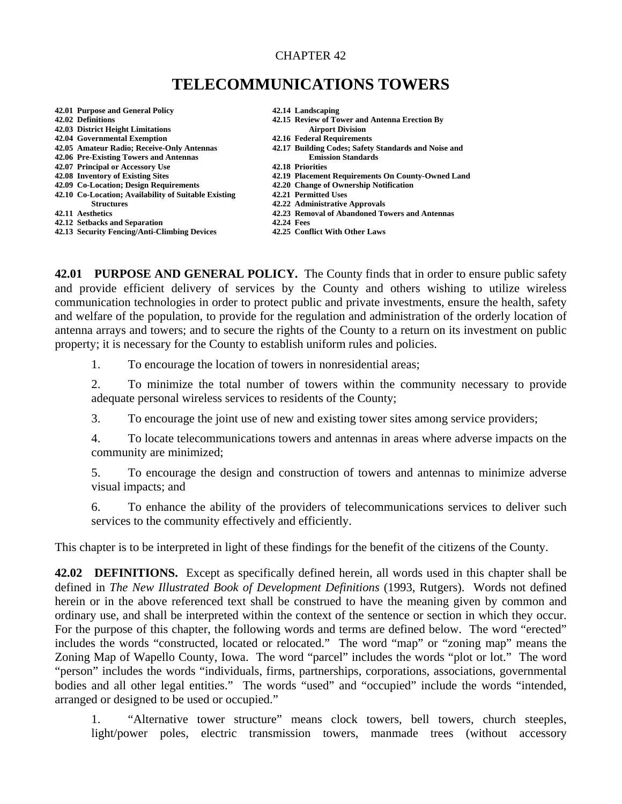## CHAPTER 42

## **TELECOMMUNICATIONS TOWERS**

- **42.01 Purpose and General Policy 42.14 Landscaping 42.03 District Height Limitations**
- **42.04 Governmental Exemption 42.16 Federal Requirements**
- 
- **42.06 Pre-Existing Towers and Antennas Fermion Standards Emission Standards Alternative Standards 12.18 Priorities**
- **42.07 Principal or Accessory Use 42.18 Priorities**
- 
- 
- **42.09 Co-Location; Design Requirements 42.20 Change of Ownership Notification 42.10 Co-Location; Availability of Suitable Existing**
- 
- 
- 
- **42.12 Setbacks and Separation 42.24 Fees**<br>**42.13 Security Fencing/Anti-Climbing Devices** 42.25 Conflict With Other Laws **42.13 Security Fencing/Anti-Climbing Devices**
- 
- **42.15 Review of Tower and Antenna Erection By<br>Airport Division**
- 
- **42.05 Amateur Radio; Receive-Only Antennas 42.17 Building Codes; Safety Standards and Noise and** 
	-
- **42.08 Inventory of Existing Sites 42.19 Placement Requirements On County-Owned Land** 
	-
	-
	- **Structures 42.22 Administrative Approvals**
- **42.11 Aesthetics 42.23 Removal of Abandoned Towers and Antennas** 
	-
	-

**42.01 PURPOSE AND GENERAL POLICY.** The County finds that in order to ensure public safety and provide efficient delivery of services by the County and others wishing to utilize wireless communication technologies in order to protect public and private investments, ensure the health, safety and welfare of the population, to provide for the regulation and administration of the orderly location of antenna arrays and towers; and to secure the rights of the County to a return on its investment on public property; it is necessary for the County to establish uniform rules and policies.

1. To encourage the location of towers in nonresidential areas;

2. To minimize the total number of towers within the community necessary to provide adequate personal wireless services to residents of the County;

3. To encourage the joint use of new and existing tower sites among service providers;

4. To locate telecommunications towers and antennas in areas where adverse impacts on the community are minimized;

5. To encourage the design and construction of towers and antennas to minimize adverse visual impacts; and

6. To enhance the ability of the providers of telecommunications services to deliver such services to the community effectively and efficiently.

This chapter is to be interpreted in light of these findings for the benefit of the citizens of the County.

**42.02 DEFINITIONS.** Except as specifically defined herein, all words used in this chapter shall be defined in *The New Illustrated Book of Development Definitions* (1993, Rutgers). Words not defined herein or in the above referenced text shall be construed to have the meaning given by common and ordinary use, and shall be interpreted within the context of the sentence or section in which they occur. For the purpose of this chapter, the following words and terms are defined below. The word "erected" includes the words "constructed, located or relocated." The word "map" or "zoning map" means the Zoning Map of Wapello County, Iowa. The word "parcel" includes the words "plot or lot." The word "person" includes the words "individuals, firms, partnerships, corporations, associations, governmental bodies and all other legal entities." The words "used" and "occupied" include the words "intended, arranged or designed to be used or occupied."

1. "Alternative tower structure" means clock towers, bell towers, church steeples, light/power poles, electric transmission towers, manmade trees (without accessory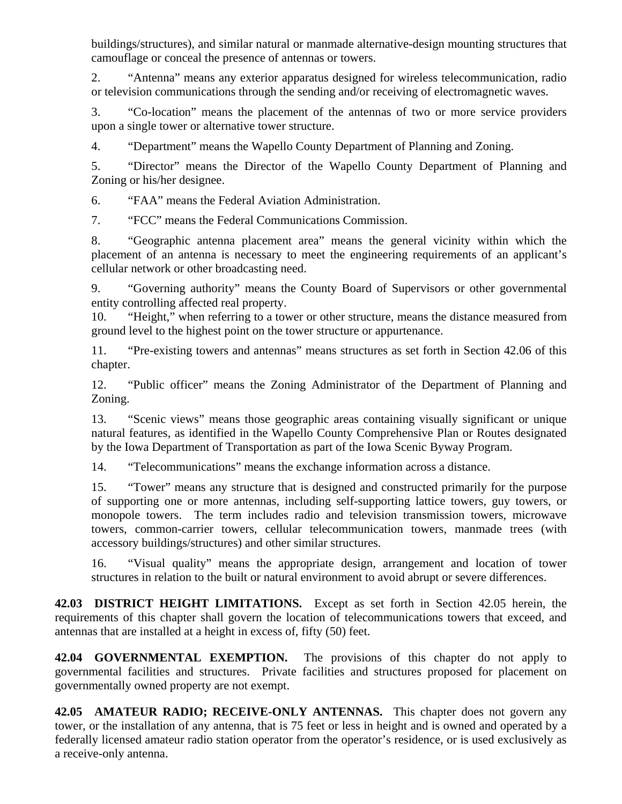buildings/structures), and similar natural or manmade alternative-design mounting structures that camouflage or conceal the presence of antennas or towers.

2. "Antenna" means any exterior apparatus designed for wireless telecommunication, radio or television communications through the sending and/or receiving of electromagnetic waves.

3. "Co-location" means the placement of the antennas of two or more service providers upon a single tower or alternative tower structure.

4. "Department" means the Wapello County Department of Planning and Zoning.

5. "Director" means the Director of the Wapello County Department of Planning and Zoning or his/her designee.

6. "FAA" means the Federal Aviation Administration.

7. "FCC" means the Federal Communications Commission.

8. "Geographic antenna placement area" means the [general](mailto:gener@ll) vicinity within which the placement of an antenna is necessary to meet the engineering requirements of an applicant's cellular network or other broadcasting need.

9. "Governing authority" means the County Board of Supervisors or other governmental entity controlling affected real property.

10. "Height," when referring to a tower or other structure, means the distance measured from ground level to the highest point on the tower structure or appurtenance.

11. "Pre-existing towers and antennas" means structures as set forth in Section 42.06 of this chapter.

12. "Public officer" means the Zoning Administrator of the Department of Planning and Zoning.

13. "Scenic views" means those geographic areas containing visually significant or unique natural features, as identified in the Wapello County Comprehensive Plan or Routes designated by the Iowa Department of Transportation as part of the Iowa Scenic Byway Program.

14. "Telecommunications" means the exchange information across a distance.

15. "Tower" means any structure that is designed and constructed primarily for the purpose of supporting one or more antennas, including self-supporting lattice towers, guy towers, or monopole towers. The term includes radio and television transmission towers, microwave towers, common-carrier towers, cellular telecommunication towers, manmade trees (with accessory buildings/structures) and other similar structures.

16. "Visual quality" means the appropriate design, arrangement and location of tower structures in relation to the built or natural environment to avoid abrupt or severe differences.

**42.03 DISTRICT HEIGHT LIMITATIONS.** Except as set forth in Section 42.05 herein, the requirements of this chapter shall govern the location of telecommunications towers that exceed, and antennas that are installed at a height in excess of, fifty (50) feet.

**42.04 GOVERNMENTAL EXEMPTION.** The provisions of this chapter do not apply to governmental facilities and structures. Private facilities and structures proposed for placement on governmentally owned property are not exempt.

**42.05 AMATEUR RADIO; RECEIVE-ONLY ANTENNAS.** This chapter does not govern any tower, or the installation of any antenna, that is 75 feet or less in height and is owned and operated by a federally licensed amateur radio station operator from the operator's residence, or is used exclusively as a receive-only antenna.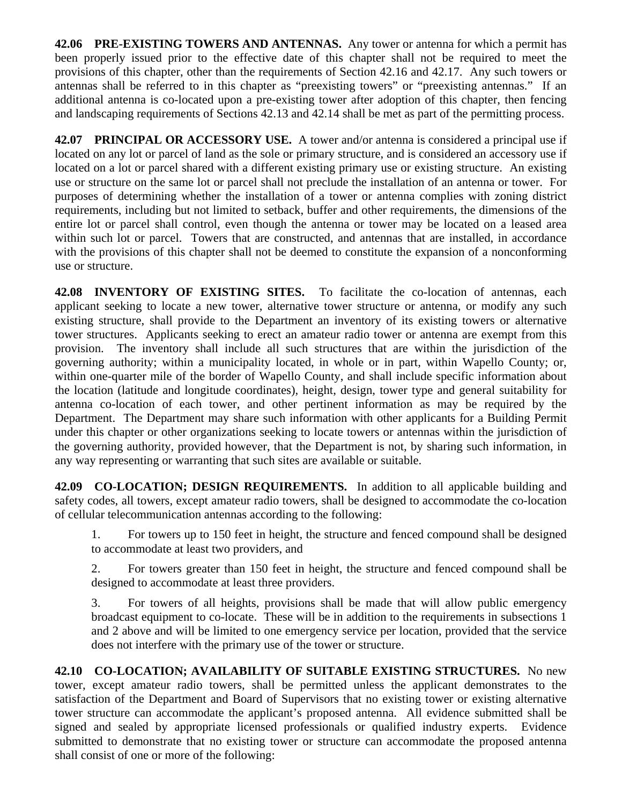**42.06 PRE-EXISTING TOWERS AND ANTENNAS.** Any tower or antenna for which a permit has been properly issued prior to the effective date of this chapter shall not be required to meet the provisions of this chapter, other than the requirements of Section 42.16 and 42.17. Any such towers or antennas shall be referred to in this chapter as "preexisting towers" or "preexisting antennas." If an additional antenna is co-located upon a pre-existing tower after adoption of this chapter, then fencing and landscaping requirements of Sections 42.13 and 42.14 shall be met as part of the permitting process.

**42.07 PRINCIPAL OR ACCESSORY USE.** A tower and/or antenna is considered a principal use if located on any lot or parcel of land as the sole or primary structure, and is considered an accessory use if located on a lot or parcel shared with a different existing primary use or existing structure. An existing use or structure on the same lot or parcel shall not preclude the installation of an antenna or tower. For purposes of determining whether the installation of a tower or antenna complies with zoning district requirements, including but not limited to setback, buffer and other requirements, the dimensions of the entire lot or parcel shall control, even though the antenna or tower may be located on a leased area within such lot or parcel. Towers that are constructed, and antennas that are installed, in accordance with the provisions of this chapter shall not be deemed to constitute the expansion of a nonconforming use or structure.

**42.08 INVENTORY OF EXISTING SITES.** To facilitate the co-location of antennas, each applicant seeking to locate a new tower, alternative tower structure or antenna, or modify any such existing structure, shall provide to the Department an inventory of its existing towers or alternative tower structures. Applicants seeking to erect an amateur radio tower or antenna are exempt from this provision. The inventory shall include all such structures that are within the jurisdiction of the governing authority; within a municipality located, in whole or in part, within Wapello County; or, within one-quarter mile of the border of Wapello County, and shall include specific information about the location (latitude and longitude coordinates), height, design, tower type and general suitability for antenna co-location of each tower, and other pertinent information as may be required by the Department. The Department may share such information with other applicants for a Building Permit under this chapter or other organizations seeking to locate towers or antennas within the jurisdiction of the governing authority, provided however, that the Department is not, by sharing such information, in any way representing or warranting that such sites are available or suitable.

**42.09 CO-LOCATION; DESIGN REQUIREMENTS.** In addition to all applicable building and safety codes, all towers, except amateur radio towers, shall be designed to accommodate the co-location of cellular telecommunication antennas according to the following:

1. For towers up to 150 feet in height, the structure and fenced compound shall be designed to accommodate at least two providers, and

2. For towers greater than 150 feet in height, the structure and fenced compound shall be designed to accommodate at least three providers.

3. For towers of all heights, provisions shall be made that will allow public emergency broadcast equipment to co-locate. These will be in addition to the requirements in subsections 1 and 2 above and will be limited to one emergency service per location, provided that the service does not interfere with the primary use of the tower or structure.

**42.10 CO-LOCATION; AVAILABILITY OF SUITABLE EXISTING STRUCTURES.** No new tower, except amateur radio towers, shall be permitted unless the applicant demonstrates to the satisfaction of the Department and Board of Supervisors that no existing tower or existing alternative tower structure can accommodate the applicant's proposed antenna. All evidence submitted shall be signed and sealed by appropriate licensed professionals or qualified industry experts. Evidence submitted to demonstrate that no existing tower or structure can accommodate the proposed antenna shall consist of one or more of the following: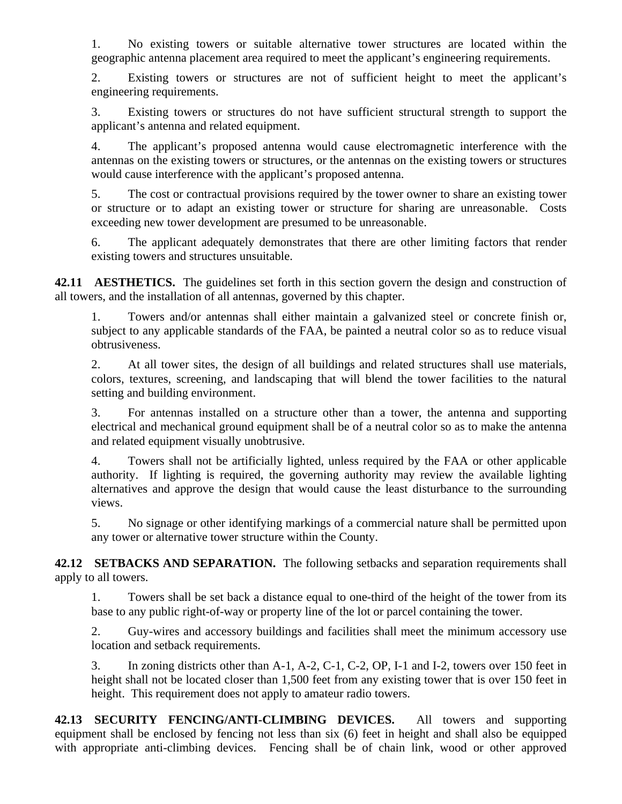1. No existing towers or suitable alternative tower structures are located within the geographic antenna placement area required to meet the applicant's engineering requirements.

2. Existing towers or structures are not of sufficient height to meet the applicant's engineering requirements.

3. Existing towers or structures do not have sufficient structural strength to support the applicant's antenna and related equipment.

4. The applicant's proposed antenna would cause electromagnetic interference with the antennas on the existing towers or structures, or the antennas on the existing towers or structures would cause interference with the applicant's proposed antenna.

5. The cost or contractual provisions required by the tower owner to share an existing tower or structure or to adapt an existing tower or structure for sharing are unreasonable. Costs exceeding new tower development are presumed to be unreasonable.

6. The applicant adequately demonstrates that there are other limiting factors that render existing towers and structures unsuitable.

**42.11 AESTHETICS.** The guidelines set forth in this section govern the design and construction of all towers, and the installation of all antennas, governed by this chapter.

1. Towers and/or antennas shall either maintain a galvanized steel or concrete finish or, subject to any applicable standards of the FAA, be painted a neutral color so as to reduce visual obtrusiveness.

2. At all tower sites, the design of all buildings and related structures shall use materials, colors, textures, screening, and landscaping that will blend the tower facilities to the natural setting and building environment.

3. For antennas installed on a structure other than a tower, the antenna and supporting electrical and mechanical ground equipment shall be of a neutral color so as to make the antenna and related equipment visually unobtrusive.

4. Towers shall not be artificially lighted, unless required by the FAA or other applicable authority. If lighting is required, the governing authority may review the available lighting alternatives and approve the design that would cause the least disturbance to the surrounding views.

5. No signage or other identifying markings of a commercial nature shall be permitted upon any tower or alternative tower structure within the County.

**42.12 SETBACKS AND SEPARATION.** The following setbacks and separation requirements shall apply to all towers.

1. Towers shall be set back a distance equal to one-third of the height of the tower from its base to any public right-of-way or property line of the lot or parcel containing the tower.

2. Guy-wires and accessory buildings and facilities shall meet the minimum accessory use location and setback requirements.

3. In zoning districts other than A-1, A-2, C-1, C-2, OP, I-1 and I-2, towers over 150 feet in height shall not be located closer than 1,500 feet from any existing tower that is over 150 feet in height. This requirement does not apply to amateur radio towers.

**42.13 SECURITY FENCING/ANTI-CLIMBING DEVICES.** All towers and supporting equipment shall be enclosed by fencing not less than six (6) feet in height and shall also be equipped with appropriate anti-climbing devices. Fencing shall be of chain link, wood or other approved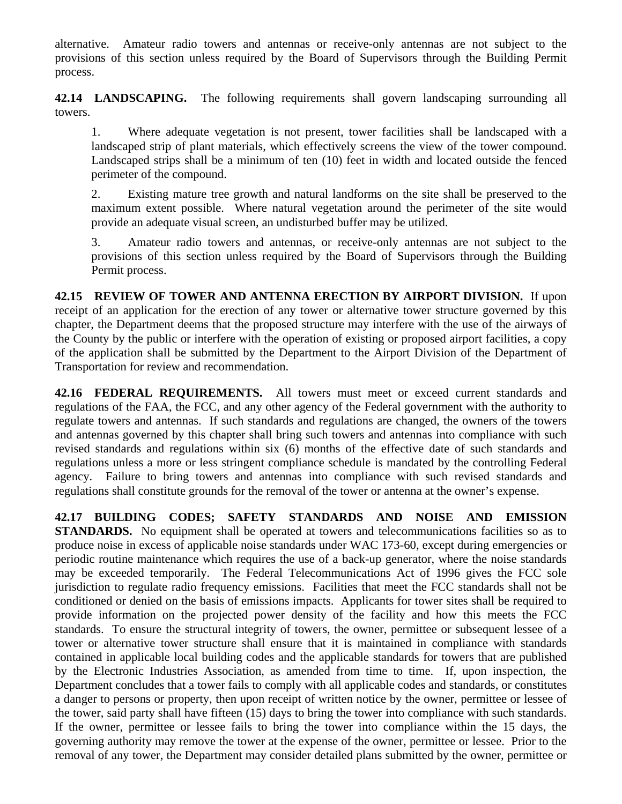alternative. Amateur radio towers and antennas or receive-only antennas are not subject to the provisions of this section unless required by the Board of Supervisors through the Building Permit process.

**42.14 LANDSCAPING.** The following requirements shall govern landscaping surrounding all towers.

1. Where adequate vegetation is not present, tower facilities shall be landscaped with a landscaped strip of plant materials, which effectively screens the view of the tower compound. Landscaped strips shall be a minimum of ten (10) feet in width and located outside the fenced perimeter of the compound.

2. Existing mature tree growth and natural landforms on the site shall be preserved to the maximum extent possible. Where natural vegetation around the perimeter of the site would provide an adequate visual screen, an undisturbed buffer may be utilized.

3. Amateur radio towers and antennas, or receive-only antennas are not subject to the provisions of this section unless required by the Board of Supervisors through the Building Permit process.

**42.15 REVIEW OF TOWER AND ANTENNA ERECTION BY AIRPORT DIVISION.** If upon receipt of an application for the erection of any tower or alternative tower structure governed by this chapter, the Department deems that the proposed structure may interfere with the use of the airways of the County by the public or interfere with the operation of existing or proposed airport facilities, a copy of the application shall be submitted by the Department to the Airport Division of the Department of Transportation for review and recommendation.

**42.16 FEDERAL REQUIREMENTS.** All towers must meet or exceed current standards and regulations of the FAA, the FCC, and any other agency of the Federal government with the authority to regulate towers and antennas. If such standards and regulations are changed, the owners of the towers and antennas governed by this chapter shall bring such towers and antennas into compliance with such revised standards and regulations within six (6) months of the effective date of such standards and regulations unless a more or less stringent compliance schedule is mandated by the controlling Federal agency. Failure to bring towers and antennas into compliance with such revised standards and regulations shall constitute grounds for the removal of the tower or antenna at the owner's expense.

**42.17 BUILDING CODES; SAFETY STANDARDS AND NOISE AND EMISSION STANDARDS.** No equipment shall be operated at towers and telecommunications facilities so as to produce noise in excess of applicable noise standards under WAC 173-60, except during emergencies or periodic routine maintenance which requires the use of a back-up generator, where the noise standards may be exceeded temporarily. The Federal Telecommunications Act of 1996 gives the FCC sole jurisdiction to regulate radio frequency emissions. Facilities that meet the FCC standards shall not be conditioned or denied on the basis of emissions impacts. Applicants for tower sites shall be required to provide information on the projected power density of the facility and how this meets the FCC standards. To ensure the structural integrity of towers, the owner, permittee or subsequent lessee of a tower or alternative tower structure shall ensure that it is maintained in compliance with standards contained in applicable local building codes and the applicable standards for towers that are published by the Electronic Industries Association, as amended from time to time. If, upon inspection, the Department concludes that a tower fails to comply with all applicable codes and standards, or constitutes a danger to persons or property, then upon receipt of written notice by the owner, permittee or lessee of the tower, said party shall have fifteen (15) days to bring the tower into compliance with such standards. If the owner, permittee or lessee fails to bring the tower into compliance within the 15 days, the governing authority may remove the tower at the expense of the owner, permittee or lessee. Prior to the removal of any tower, the Department may consider detailed plans submitted by the owner, permittee or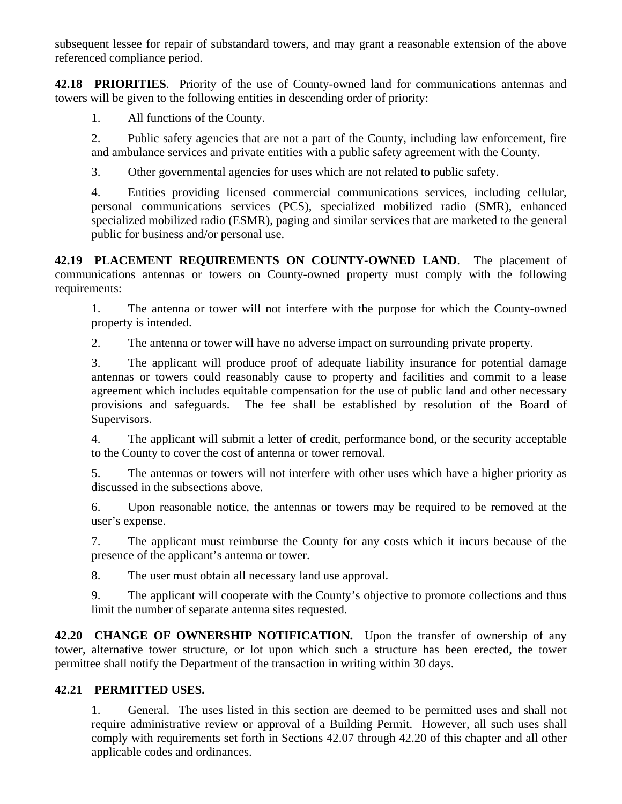subsequent lessee for repair of substandard towers, and may grant a reasonable extension of the above referenced compliance period.

**42.18 PRIORITIES**. Priority of the use of County-owned land for communications antennas and towers will be given to the following entities in descending order of priority:

1. All functions of the County.

2. Public safety agencies that are not a part of the County, including law enforcement, fire and ambulance services and private entities with a public safety agreement with the County.

3. Other governmental agencies for uses which are not related to public safety.

4. Entities providing licensed commercial communications services, including cellular, personal communications services (PCS), specialized mobilized radio (SMR), enhanced specialized mobilized radio (ESMR), paging and similar services that are marketed to the general public for business and/or personal use.

**42.19 PLACEMENT REQUIREMENTS ON COUNTY-OWNED LAND**. The placement of communications antennas or towers on County-owned property must comply with the following requirements:

1. The antenna or tower will not interfere with the purpose for which the County-owned property is intended.

2. The antenna or tower will have no adverse impact on surrounding private property.

3. The applicant will produce proof of adequate liability insurance for potential damage antennas or towers could reasonably cause to property and facilities and commit to a lease agreement which includes equitable compensation for the use of public land and other necessary provisions and safeguards. The fee shall be established by resolution of the Board of Supervisors.

4. The applicant will submit a letter of credit, performance bond, or the security acceptable to the County to cover the cost of antenna or tower removal.

5. The antennas or towers will not interfere with other uses which have a higher priority as discussed in the subsections above.

6. Upon reasonable notice, the antennas or towers may be required to be removed at the user's expense.

7. The applicant must reimburse the County for any costs which it incurs because of the presence of the applicant's antenna or tower.

8. The user must obtain all necessary land use approval.

9. The applicant will cooperate with the County's objective to promote collections and thus limit the number of separate antenna sites requested.

**42.20 CHANGE OF OWNERSHIP NOTIFICATION.** Upon the transfer of ownership of any tower, alternative tower structure, or lot upon which such a structure has been erected, the tower permittee shall notify the Department of the transaction in writing within 30 days.

## **42.21 PERMITTED USES.**

1. General. The uses listed in this section are deemed to be permitted uses and shall not require administrative review or approval of a Building Permit. However, all such uses shall comply with requirements set forth in Sections 42.07 through 42.20 of this chapter and all other applicable codes and ordinances.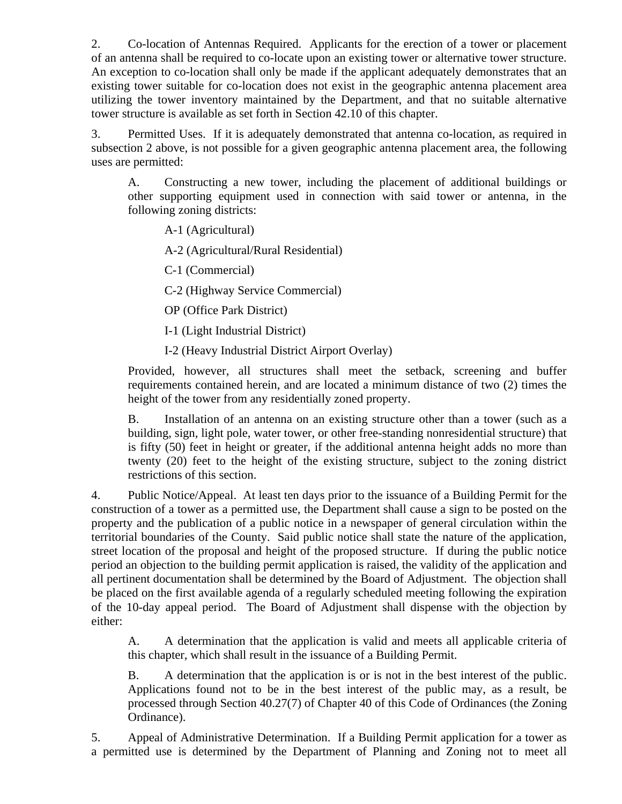2. Co-location of Antennas Required. Applicants for the erection of a tower or placement of an antenna shall be required to co-locate upon an existing tower or alternative tower structure. An exception to co-location shall only be made if the applicant adequately demonstrates that an existing tower suitable for co-location does not exist in the geographic antenna placement area utilizing the tower inventory maintained by the Department, and that no suitable alternative tower structure is available as set forth in Section 42.10 of this chapter.

3. Permitted Uses. If it is adequately demonstrated that antenna co-location, as required in subsection 2 above, is not possible for a given geographic antenna placement area, the following uses are permitted:

A. Constructing a new tower, including the placement of additional buildings or other supporting equipment used in connection with said tower or antenna, in the following zoning districts:

A-1 (Agricultural)

A-2 (Agricultural/Rural Residential)

C-1 (Commercial)

C-2 (Highway Service Commercial)

OP (Office Park District)

I-1 (Light Industrial District)

I-2 (Heavy Industrial District Airport Overlay)

Provided, however, all structures shall meet the setback, screening and buffer requirements contained herein, and are located a minimum distance of two (2) times the height of the tower from any residentially zoned property.

B. Installation of an antenna on an existing structure other than a tower (such as a building, sign, light pole, water tower, or other free-standing nonresidential structure) that is fifty (50) feet in height or greater, if the additional antenna height adds no more than twenty (20) feet to the height of the existing structure, subject to the zoning district restrictions of this section.

4. Public Notice/Appeal. At least ten days prior to the issuance of a Building Permit for the construction of a tower as a permitted use, the Department shall cause a sign to be posted on the property and the publication of a public notice in a newspaper of general circulation within the territorial boundaries of the County. Said public notice shall state the nature of the application, street location of the proposal and height of the proposed structure. If during the public notice period an objection to the building permit application is raised, the validity of the application and all pertinent documentation shall be determined by the Board of Adjustment. The objection shall be placed on the first available agenda of a regularly scheduled meeting following the expiration of the 10-day appeal period. The Board of Adjustment shall dispense with the objection by either:

A. A determination that the application is valid and meets all applicable criteria of this chapter, which shall result in the issuance of a Building Permit.

B. A determination that the application is or is not in the best interest of the public. Applications found not to be in the best interest of the public may, as a result, be processed through Section 40.27(7) of Chapter 40 of this Code of Ordinances (the Zoning Ordinance).

5. Appeal of Administrative Determination. If a Building Permit application for a tower as a permitted use is determined by the Department of Planning and Zoning not to meet all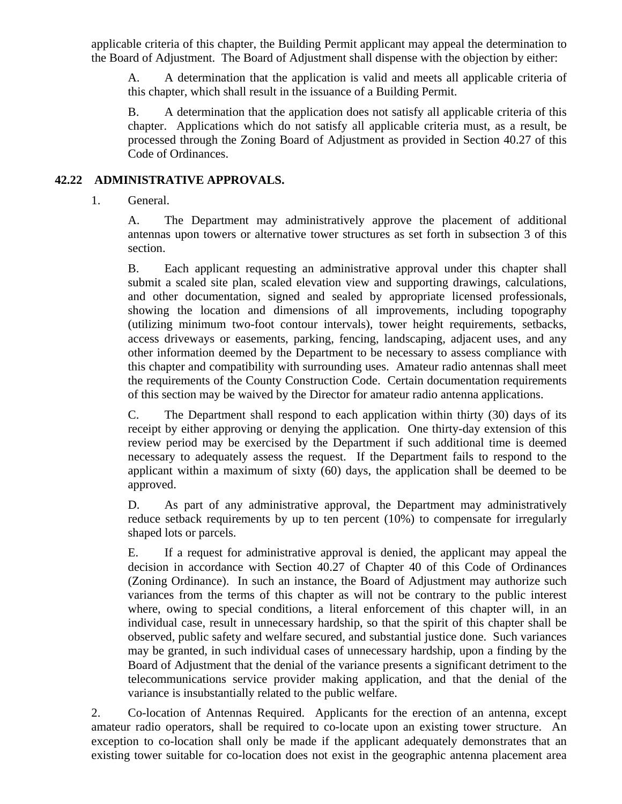applicable criteria of this chapter, the Building Permit applicant may appeal the determination to the Board of Adjustment. The Board of Adjustment shall dispense with the objection by either:

A. A determination that the application is valid and meets all applicable criteria of this chapter, which shall result in the issuance of a Building Permit.

B. A determination that the application does not satisfy all applicable criteria of this chapter. Applications which do not satisfy all applicable criteria must, as a result, be processed through the Zoning Board of Adjustment as provided in Section 40.27 of this Code of Ordinances.

## **42.22 ADMINISTRATIVE APPROVALS.**

1. General.

A. The Department may administratively approve the placement of additional antennas upon towers or alternative tower structures as set forth in subsection 3 of this section.

B. Each applicant requesting an administrative approval under this chapter shall submit a scaled site plan, scaled elevation view and supporting drawings, calculations, and other documentation, signed and sealed by appropriate licensed professionals, showing the location and dimensions of all improvements, including topography (utilizing minimum two-foot contour intervals), tower height requirements, setbacks, access driveways or easements, parking, fencing, landscaping, adjacent uses, and any other information deemed by the Department to be necessary to assess compliance with this chapter and compatibility with surrounding uses. Amateur radio antennas shall meet the requirements of the County Construction Code. Certain documentation requirements of this section may be waived by the Director for amateur radio antenna applications.

C. The Department shall respond to each application within thirty (30) days of its receipt by either approving or denying the application. One thirty-day extension of this review period may be exercised by the Department if such additional time is deemed necessary to adequately assess the request. If the Department fails to respond to the applicant within a maximum of sixty (60) days, the application shall be deemed to be approved.

D. As part of any administrative approval, the Department may administratively reduce setback requirements by up to ten percent (10%) to compensate for irregularly shaped lots or parcels.

E. If a request for administrative approval is denied, the applicant may appeal the decision in accordance with Section 40.27 of Chapter 40 of this Code of Ordinances (Zoning Ordinance). In such an instance, the Board of Adjustment may authorize such variances from the terms of this chapter as will not be contrary to the public interest where, owing to special conditions, a literal enforcement of this chapter will, in an individual case, result in unnecessary hardship, so that the spirit of this chapter shall be observed, public safety and welfare secured, and substantial justice done. Such variances may be granted, in such individual cases of unnecessary hardship, upon a finding by the Board of Adjustment that the denial of the variance presents a significant detriment to the telecommunications service provider making application, and that the denial of the variance is insubstantially related to the public welfare.

2. Co-location of Antennas Required. Applicants for the erection of an antenna, except amateur radio operators, shall be required to co-locate upon an existing tower structure. An exception to co-location shall only be made if the applicant adequately demonstrates that an existing tower suitable for co-location does not exist in the geographic antenna placement area